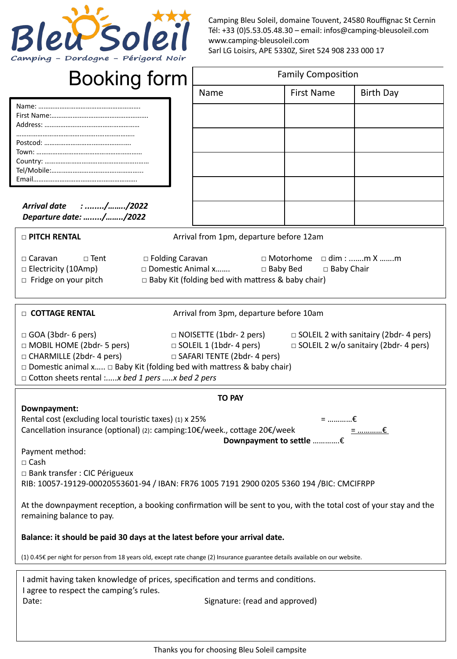

Camping Bleu Soleil, domaine Touvent, 24580 Rouffignac St Cernin Tél: +33 (0)5.53.05.48.30 – email: infos@camping-bleusoleil.com www.camping-bleusoleil.com Sarl LG Loisirs, APE 5330Z, Siret 524 908 233 000 17

# Booking form

| <b>Family Composition</b> |                   |                  |  |  |
|---------------------------|-------------------|------------------|--|--|
| Name                      | <b>First Name</b> | <b>Birth Day</b> |  |  |
|                           |                   |                  |  |  |
|                           |                   |                  |  |  |
|                           |                   |                  |  |  |
|                           |                   |                  |  |  |
|                           |                   |                  |  |  |
|                           |                   |                  |  |  |

*Arrival date : ......../……../2022 Departure date: …...../……../2022*

□ **PITCH RENTAL** Arrival from 1pm, departure before 12am

□ Caravan □ Tent □ Folding Caravan □ Motorhome □ dim : ...….m X …….m □ Electricity (10Amp) □ Domestic Animal x……. □ Baby Bed □ Baby Chair □ Fridge on your pitch □ Baby Kit (folding bed with mattress & baby chair)

□ **COTTAGE RENTAL** Arrival from 3pm, departure before 10am

| $\Box$ GOA (3bdr- 6 pers)                                                         | $\Box$ NOISETTE (1bdr- 2 pers)     | $\Box$ SOLEIL 2 with sanitairy (2bdr-4 pers) |  |  |
|-----------------------------------------------------------------------------------|------------------------------------|----------------------------------------------|--|--|
| $\Box$ MOBIL HOME (2bdr- 5 pers)                                                  | $\Box$ SOLEIL 1 (1bdr-4 pers)      | $\Box$ SOLEIL 2 w/o sanitairy (2bdr-4 pers)  |  |  |
| $\Box$ CHARMILLE (2bdr- 4 pers)                                                   | $\Box$ SAFARI TENTE (2bdr- 4 pers) |                                              |  |  |
| $\Box$ Domestic animal x $\Box$ Baby Kit (folding bed with mattress & baby chair) |                                    |                                              |  |  |
| $\Box$ Cotton sheets rental :x bed 1 pers x bed 2 pers                            |                                    |                                              |  |  |

| TO PAY                                                                                                                                          |                         |  |
|-------------------------------------------------------------------------------------------------------------------------------------------------|-------------------------|--|
| Downpayment:                                                                                                                                    |                         |  |
| Rental cost (excluding local touristic taxes) (1) x 25%                                                                                         | $=$ $\epsilon$          |  |
| Cancellation insurance (optional) (2): camping:10€/week., cottage 20€/week                                                                      |                         |  |
|                                                                                                                                                 | Downpayment to settle € |  |
| Payment method:                                                                                                                                 |                         |  |
| $\sqcap$ Cash                                                                                                                                   |                         |  |
| $\Box$ Bank transfer : CIC Périgueux                                                                                                            |                         |  |
| RIB: 10057-19129-00020553601-94 / IBAN: FR76 1005 7191 2900 0205 5360 194 /BIC: CMCIFRPP                                                        |                         |  |
| At the downpayment reception, a booking confirmation will be sent to you, with the total cost of your stay and the<br>remaining balance to pay. |                         |  |
| Balance: it should be paid 30 days at the latest before your arrival date.                                                                      |                         |  |
| (1) 0.45€ per night for person from 18 years old, except rate change (2) Insurance guarantee details available on our website.                  |                         |  |

| I admit having taken knowledge of prices, specification and terms and conditions. |                                |  |
|-----------------------------------------------------------------------------------|--------------------------------|--|
| I agree to respect the camping's rules.                                           |                                |  |
| Date:                                                                             | Signature: (read and approved) |  |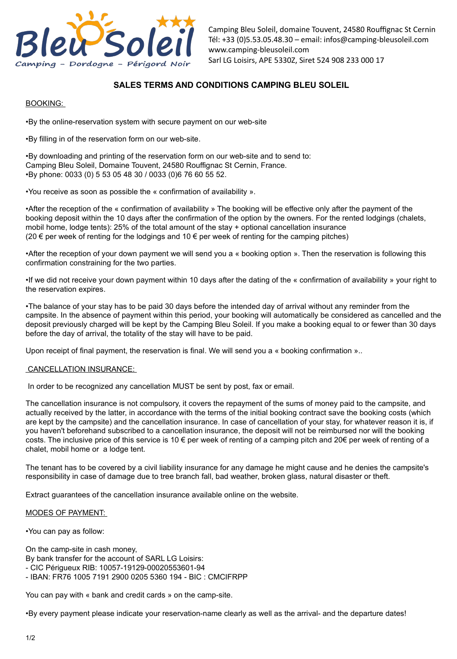

Camping Bleu Soleil, domaine Touvent, 24580 Rouffignac St Cernin Tél: +33 (0)5.53.05.48.30 – email: infos@camping-bleusoleil.com www.camping-bleusoleil.com Sarl LG Loisirs, APE 5330Z, Siret 524 908 233 000 17

# **SALES TERMS AND CONDITIONS CAMPING BLEU SOLEIL**

### BOOKING:

•By the online-reservation system with secure payment on our web-site

•By filling in of the reservation form on our web-site.

•By downloading and printing of the reservation form on our web-site and to send to: Camping Bleu Soleil, Domaine Touvent, 24580 Rouffignac St Cernin, France. •By phone: 0033 (0) 5 53 05 48 30 / 0033 (0)6 76 60 55 52.

•You receive as soon as possible the « confirmation of availability ».

•After the reception of the « confirmation of availability » The booking will be effective only after the payment of the booking deposit within the 10 days after the confirmation of the option by the owners. For the rented lodgings (chalets, mobil home, lodge tents): 25% of the total amount of the stay + optional cancellation insurance (20 € per week of renting for the lodgings and 10 € per week of renting for the camping pitches)

•After the reception of your down payment we will send you a « booking option ». Then the reservation is following this confirmation constraining for the two parties.

•If we did not receive your down payment within 10 days after the dating of the « confirmation of availability » your right to the reservation expires.

•The balance of your stay has to be paid 30 days before the intended day of arrival without any reminder from the campsite. In the absence of payment within this period, your booking will automatically be considered as cancelled and the deposit previously charged will be kept by the Camping Bleu Soleil. If you make a booking equal to or fewer than 30 days before the day of arrival, the totality of the stay will have to be paid.

Upon receipt of final payment, the reservation is final. We will send you a « booking confirmation »..

# CANCELLATION INSURANCE:

In order to be recognized any cancellation MUST be sent by post, fax or email.

The cancellation insurance is not compulsory, it covers the repayment of the sums of money paid to the campsite, and actually received by the latter, in accordance with the terms of the initial booking contract save the booking costs (which are kept by the campsite) and the cancellation insurance. In case of cancellation of your stay, for whatever reason it is, if you haven't beforehand subscribed to a cancellation insurance, the deposit will not be reimbursed nor will the booking costs. The inclusive price of this service is 10 € per week of renting of a camping pitch and 20€ per week of renting of a chalet, mobil home or a lodge tent.

The tenant has to be covered by a civil liability insurance for any damage he might cause and he denies the campsite's responsibility in case of damage due to tree branch fall, bad weather, broken glass, natural disaster or theft.

Extract guarantees of the cancellation insurance available online on the website.

#### MODES OF PAYMENT:

•You can pay as follow:

On the camp-site in cash money, By bank transfer for the account of SARL LG Loisirs: - CIC Périgueux RIB: 10057-19129-00020553601-94 - IBAN: FR76 1005 7191 2900 0205 5360 194 - BIC : CMCIFRPP

You can pay with « bank and credit cards » on the camp-site.

•By every payment please indicate your reservation-name clearly as well as the arrival- and the departure dates!